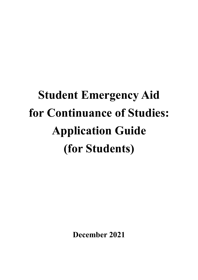# **Student Emergency Aid for Continuance of Studies: Application Guide (for Students)**

**December 2021**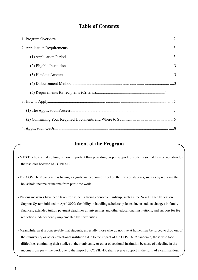## **Table of Contents**

### **Intent of the Program**

- MEXT believes that nothing is more important than providing proper support to students so that they do not abandon their studies because of COVID-19.
- The COVID-19 pandemic is having a significant economic effect on the lives of students, such as by reducing the household income or income from part-time work.
- Various measures have been taken for students facing economic hardship, such as: the New Higher Education Support System initiated in April 2020; flexibility in handling scholarship loans due to sudden changes in family finances; extended tuition payment deadlines at universities and other educational institutions; and support for fee reductions independently implemented by universities.
- Meanwhile, as it is conceivable that students, especially those who do not live at home, may be forced to drop out of their university or other educational institution due to the impact of the COVID-19 pandemic, those who face difficulties continuing their studies at their university or other educational institution because of a decline in the income from part-time work due to the impact of COVID-19, shall receive support in the form of a cash handout.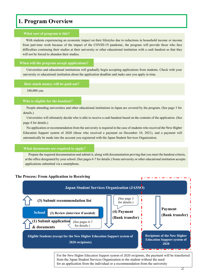## **1. Program Overview**

#### **What sort of program is this?**

With students experiencing an economic impact on their lifestyles due to reductions in household income or income from part-time work because of the impact of the COVID-19 pandemic, the program will provide those who face difficulties continuing their studies at their university or other educational institution with a cash handout so that they will not be forced to abandon their studies.

#### **When will the program accept applications?**

Universities and educational institutions will gradually begin accepting applications from students. Check with your university or educational institution about the application deadline and make sure you apply in time.

#### **How much money will be paid out?**

100,000 yen.

#### **Who is eligible for the handout?**

People attending universities and other educational institutions in Japan are covered by the program. (See page 3 for details.)

Universities will ultimately decide who is able to receive a cash handout based on the contents of the application. (See page 4 for details.)

No application or recommendation from the university is required in the case of students who received the New Higher Education Support system of 2020 (those who received a payment on December 10, 2021), and a payment will automatically be made into the account you registered with the Japan Student Services Organization.

#### **What documents are required to apply?**

Prepare the required documentation and submit it, along with documentation proving that you meet the handout criteria, at the office designated by your school. (See pages 6-7 for details.) Some university or other educational institution accepts applications submitted via a smartphone.

#### **The Process: From Application to Receiving**



For the New Higher Education Support system of 2020 recipients, the payment will be transferred from the Japan Student Services Organization to the student without the need for an application from the individual or a recommendation from the university

2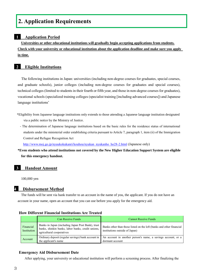## **2. Application Requirements**

#### **1 Application Period**

**Universities or other educational institutions will gradually begin accepting applications from students. Check with your university or educational institution about the application deadline and make sure you apply in time.**

#### **2 Eligible Institutions**

The following institutions in Japan: universities (including non-degree courses for graduates, special courses, and graduate schools), junior colleges (including non-degree courses for graduates and special courses), technical colleges (limited to students in their fourth or fifth year, and those in non-degree courses for graduates), vocational schools (specialized training colleges (specialist training [including advanced courses]) and Japanese language institutions\*

- \*Eligibility from Japanese language institutions only extends to those attending a Japanese language institution designated via a public notice by the Ministry of Justice.
	- The determination of Japanese language institutions based on the basic rules for the residence status of international students under the ministerial order establishing criteria pursuant to Article 7, paragraph 1, item (ii) of the Immigration Control and Refugee Recognition Act

[http://www.moj.go.jp/nyuukokukanri/kouhou/nyukan\\_nyukanho\\_ho28-2.html](http://www.moj.go.jp/nyuukokukanri/kouhou/nyukan_nyukanho_ho28-2.html) (Japanese only)

 **\*Even students who attend institutions not covered by the New Higher Education Support System are eligible for this emergency handout.**

#### **3 Handout Amount**

100,000 yen

#### **4 Disbursement Method**

The funds will be sent via bank transfer to an account in the name of you, the applicant. If you do not have an account in your name, open an account that you can use before you apply for the emergency aid.

#### **How Different Financial Institutions Are Treated**

|                          | Can Receive Funds                                                                                                                   | <b>Cannot Receive Funds</b>                                                                            |
|--------------------------|-------------------------------------------------------------------------------------------------------------------------------------|--------------------------------------------------------------------------------------------------------|
| Financial<br>Institution | Banks in Japan (including Japan Post Bank), trust<br>banks, shinkin banks, labor banks, credit unions,<br>agricultural cooperatives | Banks other than those listed on the left (banks and other financial<br>institutions outside of Japan) |
| Account                  | Ordinary deposit (regular savings) bank account in<br>the applicant's name                                                          | An account in another person's name, a savings account, or a<br>dormant account                        |

#### **Emergency Aid Disbursement Date**

After applying, your university or educational institution will perform a screening process. After finalizing the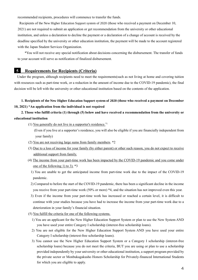recommended recipients, procedures will commence to transfer the funds.

Recipients of the New Higher Education Support system of 2020 (those who received a payment on December 10, 2021) are not required to submit an application or get recommendation from the university or other educational institution, and unless a declaration to decline the payment or a declaration of a change of account is received by the deadline specified by the university or other education institution, the payment will be made to the account registered with the Japan Student Services Organization.

\*You will not receive any special notification about decisions concerning the disbursement. The transfer of funds to your account will serve as notification of finalized disbursement.

#### **5 Requirements for Recipients (Criteria)**

Under the program, although recipients need to meet the requirements(such as not living at home and covering tuition with resources such as part-time work, or a reduction in the amount of income due to the COVID-19 pandemic), the final decision will be left with the university or other educational institution based on the contents of the application.

#### **1. Recipients of the New Higher Education Support system of 2020 (those who received a payment on December 10, 2021) \*An application from the individual is not required**

#### **2. Those who fulfill criteria (1) through (5) below and have received a recommendation from the university or educational institution**

(1) You generally do not live in a supporter's residence.\*1

 (Even if you live at a supporter's residence, you will also be eligible if you are financially independent from your family)

- (2) You are not receiving large sums from family members. \*2
- (3) Due to a loss of income for your family (by either parent) or other such reason, you do not expect to receive additional support from family.
- (4) The income from your part-time work has been impacted by the COVID-19 pandemic and you come under one of the following 1) to 3). \*3
	- 1) You are unable to get the anticipated income from part-time work due to the impact of the COVID-19 pandemic.
	- 2) Compared to before the start of the COVID-19 pandemic, there has been a significant decline in the income you receive from your part-time work (50% or more) \*4, and the situation has not improved even this year.
	- 3) Even if the income from your part-time work has increased or reached a certain level, it is difficult to continue with your studies because you have had to increase the income from your part-time work due to a deterioration in your family's financial situation.
- (5) You fulfill the criteria for one of the following systems.
	- 1) You are an applicant for the New Higher Education Support System or plan to use the New System AND you have used your entire Category I scholarship (interest-free scholarship loans).
	- 2) You are not eligible for the New Higher Education Support System AND you have used your entire Category I scholarship (interest-free scholarship loans).
	- 3) You cannot use the New Higher Education Support System or a Category I scholarship (interest-free scholarship loans) because you do not meet the criteria, BUT you are using or plan to use a scholarship provided independently by your university or other educational institution, a support program provided by the private sector or Monbukagakusho Honors Scholarship for Privately-financed International Students for which you are eligible to apply.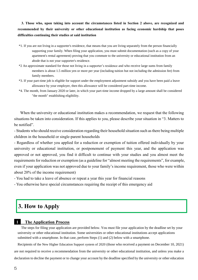**3. Those who, upon taking into account the circumstances listed in Section 2 above, are recognized and recommended by their university or other educational institution as facing economic hardship that poses difficulties continuing their studies at said institution**

- \*1. If you are not living in a supporter's residence, that means that you are living separately from the person financially supporting your family. When filing your application, you must submit documentation (such as a copy of your apartment's rental agreement) proving that you commute to the university or educational institution from an abode that is not your supporter's residence.
- \*2 An approximate standard for those not living in a supporter's residence and who receive large sums from family members is about 1.5 million yen or more per year (including tuition but not including the admission fee) from family members.
- \*3. If your part-time job is eligible for support under the employment adjustment subsidy and you have been paid a leave allowance by your employer, then this allowance will be considered part-time income.
- \*4. The month, from January 2020 or later, in which your part-time income dropped by a large amount shall be considered "the month" establishing eligibility.

When the university or educational institution makes a recommendation, we request that the following situations be taken into consideration. If this applies to you, please describe your situation in "3. Matters to be notified".

- Students who should receive consideration regarding their household situation such as there being multiple children in the household or single-parent households

- Regardless of whether you applied for a reduction or exemption of tuition offered individually by your university or educational institution, or postponement of payment this year, and the application was approved or not approved, you find it difficult to continue with your studies and you almost meet the requirements for reduction or exemption (as a guideline for "almost meeting the requirements", for example, even if your application was not approved due to your family's income requirement, those who were within about 20% of the income requirement)

- You had to take a leave of absence or repeat a year this year for financial reasons

- You otherwise have special circumstances requiring the receipt of this emergency aid

## **3. How to Apply**

#### **1 The Application Process**

The steps for filing your application are provided below. You must file your application by the deadline set by your university or other educational institution. Some universities or other educational institutions accept applications submitted with a smartphone. In that case, perform Steps (1) and (2) below with a smartphone.

Recipients of the New Higher Education Support system of 2020 (those who received a payment on December 10, 2021) are not required to receive a recommendation from the university or other educational institution, and unless you make a declaration to decline the payment or to change your account by the deadline specified by the university or other education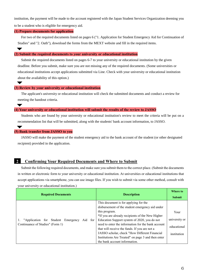institution, the payment will be made to the account registered with the Japan Student Services Organization deeming you to be a student who is eligible for emergency aid.

#### **(1) Prepare documents for application**

For two of the required documents listed on pages 6 ("1. Application for Student Emergency Aid for Continuation of Studies" and "2. Oath"), download the forms from the MEXT website and fill in the required items.

#### **(2) Submit the required documents to your university or educational institution**

Submit the required documents listed on pages 6-7 to your university or educational institution by the given deadline. Before you submit, make sure you are not missing any of the required documents. (Some universities or educational institutions accept applications submitted via Line. Check with your university or educational institution about the availability of this option.)

#### **(3) Review by your university or educational institution**

The applicant's university or educational institution will check the submitted documents and conduct a review for meeting the handout criteria.

#### **(4) Your university or educational institution will submit the results of the review to JASSO**

Students who are found by your university or educational institution's review to meet the criteria will be put on a recommendation list that will be submitted, along with the students' bank account information, to JASSO.

 $\blacktriangledown$ 

#### **(5) Bank transfer from JASSO to you**

JASSO will make the payment of the student emergency aid to the bank account of the student (or other designated recipient) provided in the application.

#### **2 Confirming Your Required Documents and Where to Submit**

Submit the following required documents, and make sure you submit them to the correct place. (Submit the documents in written or electronic form to your university or educational institution. At universities or educational institutions that accept applications via smartphone, you can use image files. If you wish to submit via some other method, consult with your university or educational institution.)

| <b>Required Documents</b>                                                            | <b>Description</b>                                                                                                                                                                                                                                                                                                                                                                                                                                           | <b>Where to</b><br><b>Submit</b>                    |
|--------------------------------------------------------------------------------------|--------------------------------------------------------------------------------------------------------------------------------------------------------------------------------------------------------------------------------------------------------------------------------------------------------------------------------------------------------------------------------------------------------------------------------------------------------------|-----------------------------------------------------|
| 1. "Application for Student Emergency<br>Aid for<br>Continuance of Studies" (Form 1) | This document is for applying for the<br>disbursement of the student emergency aid under<br>this program.<br>*If you are already recipients of the New Higher<br>Education Support system of 2020, you do not<br>need to enter the information for the bank account<br>that will receive the funds. If you are not a<br>JASSO scholar, check "How Different Financial<br>Institutions Are Treated" on page 3 and then enter<br>the bank account information. | Your<br>university or<br>educational<br>institution |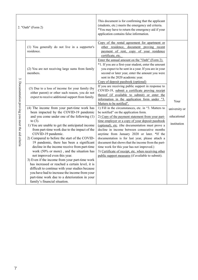| 2. "Oath" (Form 2)                              |                                                                                                                                                                                                                                                                                                                                                                                                                                                                                                                                                                                                                                                                                                                                                                                                   | This document is for confirming that the applicant<br>(students, etc.) meets the emergency aid criteria.<br>*You may have to return the emergency aid if your<br>application contains false information.                                                                                                                                                                                                                                                                                                                                                                                                                     |                                             |
|-------------------------------------------------|---------------------------------------------------------------------------------------------------------------------------------------------------------------------------------------------------------------------------------------------------------------------------------------------------------------------------------------------------------------------------------------------------------------------------------------------------------------------------------------------------------------------------------------------------------------------------------------------------------------------------------------------------------------------------------------------------------------------------------------------------------------------------------------------------|------------------------------------------------------------------------------------------------------------------------------------------------------------------------------------------------------------------------------------------------------------------------------------------------------------------------------------------------------------------------------------------------------------------------------------------------------------------------------------------------------------------------------------------------------------------------------------------------------------------------------|---------------------------------------------|
| $\ddot{\mathbf{z}}$                             | (1) You generally do not live in a supporter's<br>residence.                                                                                                                                                                                                                                                                                                                                                                                                                                                                                                                                                                                                                                                                                                                                      | Copy of the rental agreement for apartment or<br>other residence, document proving recent<br>payment of rent, copy of your residence<br>certificate, etc.                                                                                                                                                                                                                                                                                                                                                                                                                                                                    |                                             |
|                                                 | (2) You are not receiving large sums from family<br>members.                                                                                                                                                                                                                                                                                                                                                                                                                                                                                                                                                                                                                                                                                                                                      | Enter the annual amount on the "Oath" (Form 2).<br>*1. If you are a first-year student, enter the amount<br>you expect to be sent in a year. If you are in your<br>second or later year, enter the amount you were<br>sent in the 2020 academic year.<br>Copy of deposit passbook (optional)                                                                                                                                                                                                                                                                                                                                 |                                             |
|                                                 | (3) Due to a loss of income for your family (by<br>either parent) or other such reason, you do not<br>expect to receive additional support from family.                                                                                                                                                                                                                                                                                                                                                                                                                                                                                                                                                                                                                                           | If you are receiving public support in response to<br>COVID-19, submit a certificate proving receipt<br>thereof (if available to submit) or enter the<br>information in the application form under "3.<br>Matters to be notified".                                                                                                                                                                                                                                                                                                                                                                                           | Your                                        |
| Documentation proving you meet the aid criteria | (4) The income from your part-time work has<br>been impacted by the COVID-19 pandemic<br>and you come under one of the following (1)<br>to $(3)$ .<br>1) You are unable to get the anticipated income<br>from part-time work due to the impact of the<br>COVID-19 pandemic.<br>2) Compared to before the start of the COVID-<br>19 pandemic, there has been a significant<br>decline in the income receive from part-time<br>work (50% or more), and the situation has<br>not improved even this year.<br>3) Even if the income from your part-time work<br>has increased or reached a certain level, it is<br>difficult to continue with your studies because<br>you have had to increase the income from your<br>part-time work due to a deterioration in your<br>family's financial situation. | 1) Fill in the circumstances, etc. in "3. Matters to<br>be notified" on the application form.<br>2) Copy of the payment statement from your part-<br>time employer or a copy of your deposit passbook<br>(optional), etc. (the documentation must prove a<br>decline in income between consecutive months<br>anytime from January 2020 or later. *If the<br>documentation is for last year, please attach a<br>document that shows that the income from the part-<br>time work for this year has not improved.)<br>3) Certificate of receipt, etc. when receiving other<br>public support measures (if available to submit). | university or<br>educational<br>institution |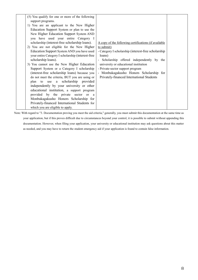| (5) You qualify for one or more of the following<br>support programs.<br>1) You are an applicant to the New Higher<br>Education Support System or plan to use the<br>New Higher Education Support System AND<br>you have used your entire Category I<br>scholarship (interest-free scholarship loans).<br>2) You are not eligible for the New Higher<br>Education Support System AND you have used<br>your entire Category I scholarship (interest-free<br>scholarship loans).<br>3) You cannot use the New Higher Education<br>Support System or a Category I scholarship<br>(interest-free scholarship loans) because you<br>do not meet the criteria, BUT you are using or<br>plan to use a scholarship provided<br>independently by your university or other<br>educational institution, a support program<br>provided by the private sector or a<br>Monbukagakusho Honors Scholarship for<br>Privately-financed International Students for<br>which you are eligible to apply. | A copy of the following certifications (if available<br>to submit)<br>- Category I scholarship (interest-free scholarship)<br>loans)<br>- Scholarship offered independently by the<br>university or educational institution<br>- Private-sector support program<br>- Monbukagakusho Honors Scholarship for<br>Privately-financed International Students |
|-------------------------------------------------------------------------------------------------------------------------------------------------------------------------------------------------------------------------------------------------------------------------------------------------------------------------------------------------------------------------------------------------------------------------------------------------------------------------------------------------------------------------------------------------------------------------------------------------------------------------------------------------------------------------------------------------------------------------------------------------------------------------------------------------------------------------------------------------------------------------------------------------------------------------------------------------------------------------------------|---------------------------------------------------------------------------------------------------------------------------------------------------------------------------------------------------------------------------------------------------------------------------------------------------------------------------------------------------------|
|-------------------------------------------------------------------------------------------------------------------------------------------------------------------------------------------------------------------------------------------------------------------------------------------------------------------------------------------------------------------------------------------------------------------------------------------------------------------------------------------------------------------------------------------------------------------------------------------------------------------------------------------------------------------------------------------------------------------------------------------------------------------------------------------------------------------------------------------------------------------------------------------------------------------------------------------------------------------------------------|---------------------------------------------------------------------------------------------------------------------------------------------------------------------------------------------------------------------------------------------------------------------------------------------------------------------------------------------------------|

Note: With regard to "3. Documentation proving you meet the aid criteria," generally, you must submit this documentation at the same time as your application, but if this proves difficult due to circumstances beyond your control, it is possible to submit without appending this documentation. However, when filing your application, your university or educational institution may ask questions about this matter as needed, and you may have to return the student emergency aid if your application is found to contain false information.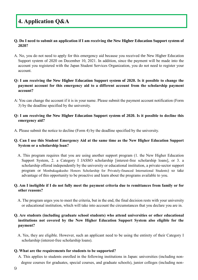## **4. Application Q&A**

#### **Q. Do I need to submit an application if I am receiving the New Higher Education Support system of 2020?**

A. No, you do not need to apply for this emergency aid because you received the New Higher Education Support system of 2020 on December 10, 2021. In addition, since the payment will be made into the account you registered with the Japan Student Services Organization, you do not need to register your account.

#### **Q: I am receiving the New Higher Education Support system of 2020. Is it possible to change the payment account for this emergency aid to a different account from the scholarship payment account?**

A: You can change the account if it is in your name. Please submit the payment account notification (Form 3) by the deadline specified by the university.

#### **Q: I am receiving the New Higher Education Support system of 2020. Is it possible to decline this emergency aid?**

A. Please submit the notice to decline (Form 4) by the deadline specified by the university.

#### **Q. Can I use this Student Emergency Aid at the same time as the New Higher Education Support System or a scholarship loan?**

A. This program requires that you are using another support program (1. the New Higher Education Support System, 2. a Category I JASSO scholarship [interest-free scholarship loans], or 3. a scholarship offered independently by the university or educational institution, a private-sector support program or Monbukagakusho Honors Scholarship for Privately-financed International Students) so take advantage of this opportunity to be proactive and learn about the programs available to you.

#### **Q. Am I ineligible if I do not fully meet the payment criteria due to remittances from family or for other reasons?**

A. The program urges you to meet the criteria, but in the end, the final decision rests with your university or educational institution, which will take into account the circumstances that you declare you are in.

#### **Q. Are students (including graduate school students) who attend universities or other educational institutions not covered by the New Higher Education Support System also eligible for the payment?**

A. Yes, they are eligible. However, such an applicant need to be using the entirety of their Category I scholarship (interest-free scholarship loans).

#### **Q. What are the requirements for students to be supported?**

A. This applies to students enrolled in the following institutions in Japan: universities (including nondegree courses for graduates, special courses, and graduate schools), junior colleges (including non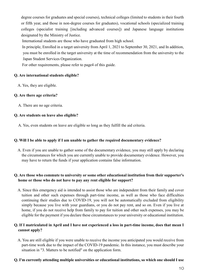degree courses for graduates and special courses), technical colleges (limited to students in their fourth or fifth year, and those in non-degree courses for graduates), vocational schools (specialized training colleges (specialist training [including advanced courses]) and Japanese language institutions designated by the Ministry of Justice.

International students are those who have graduated from high school.

In principle, Enrolled in a target university from April 1, 2021 to September 30, 2021, and In addition, you must be enrolled in the target university at the time of recommendation from the university to the Japan Student Services Organization.

For other requirements, please refer to page4 of this guide.

#### **Q. Are international students eligible?**

A. Yes, they are eligible.

#### **Q. Are there age criteria?**

A. There are no age criteria.

#### **Q. Are students on leave also eligible?**

A. Yes, even students on leave are eligible so long as they fulfill the aid criteria.

#### **Q. Will I be able to apply if I am unable to gather the required documentary evidence?**

A. Even if you are unable to gather some of the documentary evidence, you may still apply by declaring the circumstances for which you are currently unable to provide documentary evidence. However, you may have to return the funds if your application contains false information.

#### **Q. Are those who commute to university or some other educational institution from their supporter's home or those who do not have to pay any rent eligible for support?**

A. Since this emergency aid is intended to assist those who are independent from their family and cover tuition and other such expenses through part-time income, as well as those who face difficulties continuing their studies due to COVID-19, you will not be automatically excluded from eligibility simply because you live with your guardians, or you do not pay rent, and so on. Even if you live at home, if you do not receive help from family to pay for tuition and other such expenses, you may be eligible for the payment if you declare these circumstances to your university or educational institution.

#### **Q. If I matriculated in April and I have not experienced a loss in part-time income, does that mean I cannot apply?**

A. You are still eligible if you were unable to receive the income you anticipated you would receive from part-time work due to the impact of the COVID-19 pandemic. In this instance, you must describe your situation in "3. Matters to be notified" on the application form.

#### **Q. I'm currently attending multiple universities or educational institutions, so which one should I use**